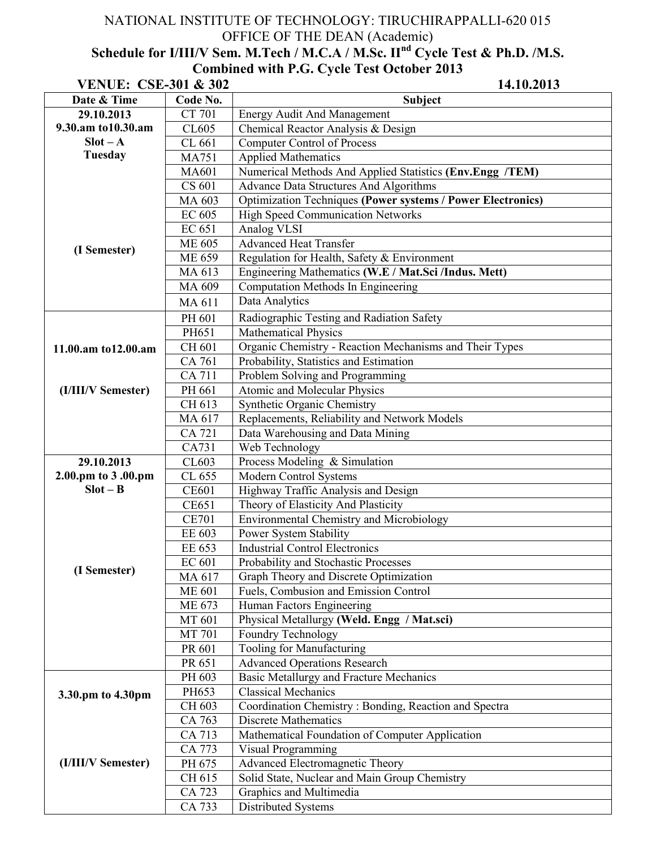## NATIONAL INSTITUTE OF TECHNOLOGY: TIRUCHIRAPPALLI-620 015 OFFICE OF THE DEAN (Academic)

## **Schedule for I/III/V Sem. M.Tech / M.C.A / M.Sc. IInd Cycle Test & Ph.D. /M.S. Combined with P.G. Cycle Test October 2013**

| <b>VENUE: CSE-301 &amp; 302</b> |               | 14.10.2013                                                         |
|---------------------------------|---------------|--------------------------------------------------------------------|
| Date & Time                     | Code No.      | Subject                                                            |
| 29.10.2013                      | <b>CT 701</b> | <b>Energy Audit And Management</b>                                 |
| 9.30.am to 10.30.am             | CL605         | Chemical Reactor Analysis & Design                                 |
| $Slot - A$                      | CL 661        | <b>Computer Control of Process</b>                                 |
| <b>Tuesday</b>                  | <b>MA751</b>  | <b>Applied Mathematics</b>                                         |
|                                 | <b>MA601</b>  | Numerical Methods And Applied Statistics (Env.Engg /TEM)           |
|                                 | CS 601        | <b>Advance Data Structures And Algorithms</b>                      |
|                                 | MA 603        | <b>Optimization Techniques (Power systems / Power Electronics)</b> |
|                                 | <b>EC 605</b> | <b>High Speed Communication Networks</b>                           |
| (I Semester)                    | EC 651        | Analog VLSI                                                        |
|                                 | <b>ME 605</b> | <b>Advanced Heat Transfer</b>                                      |
|                                 | ME 659        | Regulation for Health, Safety & Environment                        |
|                                 | MA 613        | Engineering Mathematics (W.E / Mat.Sci /Indus. Mett)               |
|                                 | MA 609        | Computation Methods In Engineering                                 |
|                                 | MA 611        | Data Analytics                                                     |
|                                 | PH 601        | Radiographic Testing and Radiation Safety                          |
|                                 | PH651         | <b>Mathematical Physics</b>                                        |
| 11.00.am to12.00.am             | CH 601        | Organic Chemistry - Reaction Mechanisms and Their Types            |
|                                 | CA 761        | Probability, Statistics and Estimation                             |
|                                 | <b>CA 711</b> | Problem Solving and Programming                                    |
| (I/III/V Semester)              | PH 661        | Atomic and Molecular Physics                                       |
|                                 | CH 613        | Synthetic Organic Chemistry                                        |
|                                 | MA 617        | Replacements, Reliability and Network Models                       |
|                                 | CA 721        | Data Warehousing and Data Mining                                   |
|                                 | CA731         | Web Technology                                                     |
| 29.10.2013                      | CL603         | Process Modeling $&$ Simulation                                    |
| 2.00.pm to 3 .00.pm             | CL 655        | Modern Control Systems                                             |
| $Slot - B$                      | <b>CE601</b>  | Highway Traffic Analysis and Design                                |
|                                 | <b>CE651</b>  | Theory of Elasticity And Plasticity                                |
|                                 | <b>CE701</b>  | Environmental Chemistry and Microbiology                           |
|                                 | EE 603        | Power System Stability                                             |
|                                 | EE 653        | <b>Industrial Control Electronics</b>                              |
|                                 | <b>EC 601</b> | Probability and Stochastic Processes                               |
| (I Semester)                    | MA 617        | Graph Theory and Discrete Optimization                             |
|                                 | <b>ME 601</b> | Fuels, Combusion and Emission Control                              |
|                                 | ME 673        | Human Factors Engineering                                          |
|                                 | MT 601        | Physical Metallurgy (Weld. Engg / Mat.sci)                         |
|                                 | <b>MT 701</b> | Foundry Technology                                                 |
|                                 | PR 601        | Tooling for Manufacturing                                          |
|                                 | PR 651        | <b>Advanced Operations Research</b>                                |
|                                 | PH 603        | <b>Basic Metallurgy and Fracture Mechanics</b>                     |
| 3.30.pm to 4.30pm               | PH653         | <b>Classical Mechanics</b>                                         |
|                                 | CH 603        | Coordination Chemistry: Bonding, Reaction and Spectra              |
|                                 | CA 763        | <b>Discrete Mathematics</b>                                        |
|                                 | CA 713        | Mathematical Foundation of Computer Application                    |
|                                 | CA 773        | <b>Visual Programming</b>                                          |
| (I/III/V Semester)              | PH 675        | Advanced Electromagnetic Theory                                    |
|                                 | CH 615        | Solid State, Nuclear and Main Group Chemistry                      |
|                                 | CA 723        | Graphics and Multimedia                                            |
|                                 | CA 733        | Distributed Systems                                                |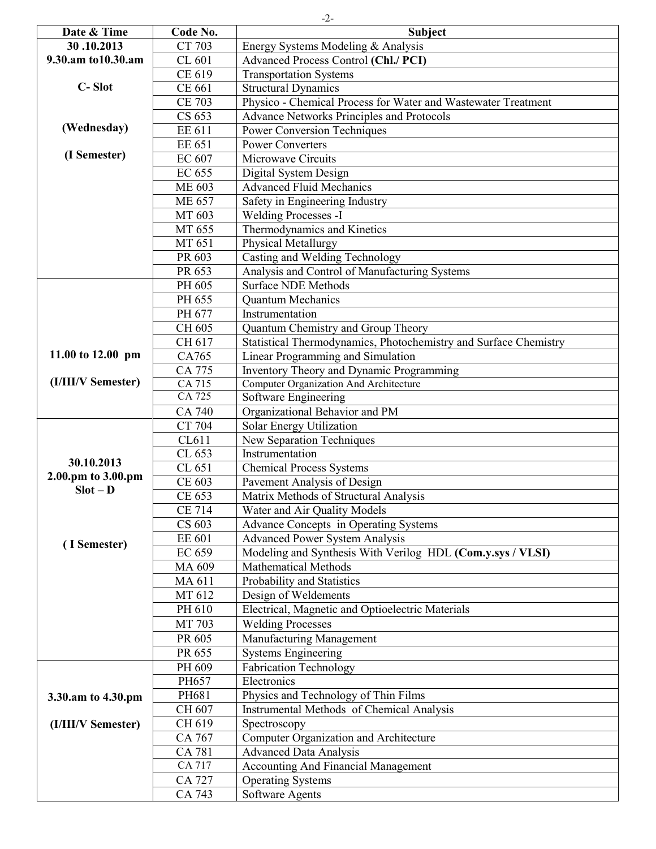| Date & Time         | Code No.                | <b>Subject</b>                                                   |
|---------------------|-------------------------|------------------------------------------------------------------|
| 30.10.2013          | CT 703                  | Energy Systems Modeling & Analysis                               |
| 9.30.am to 10.30.am | CL 601                  | <b>Advanced Process Control (Chl./ PCI)</b>                      |
|                     | CE 619                  | <b>Transportation Systems</b>                                    |
| C-Slot              | CE 661                  | <b>Structural Dynamics</b>                                       |
|                     | <b>CE 703</b>           | Physico - Chemical Process for Water and Wastewater Treatment    |
|                     | CS 653                  | <b>Advance Networks Principles and Protocols</b>                 |
| (Wednesday)         | EE 611                  | <b>Power Conversion Techniques</b>                               |
|                     | EE 651                  | <b>Power Converters</b>                                          |
| (I Semester)        | EC 607                  | Microwave Circuits                                               |
|                     | EC 655                  | Digital System Design                                            |
|                     | <b>ME 603</b>           | <b>Advanced Fluid Mechanics</b>                                  |
|                     | <b>ME 657</b>           | Safety in Engineering Industry                                   |
|                     | $\overline{\rm MT}$ 603 | <b>Welding Processes -I</b>                                      |
|                     | MT 655                  | Thermodynamics and Kinetics                                      |
|                     | MT 651                  | <b>Physical Metallurgy</b>                                       |
|                     | PR 603                  | Casting and Welding Technology                                   |
|                     | PR 653                  | Analysis and Control of Manufacturing Systems                    |
|                     | PH 605                  | <b>Surface NDE Methods</b>                                       |
|                     | PH 655                  | Quantum Mechanics                                                |
|                     | PH 677                  | Instrumentation                                                  |
|                     | CH 605                  | Quantum Chemistry and Group Theory                               |
|                     | CH 617                  | Statistical Thermodynamics, Photochemistry and Surface Chemistry |
| 11.00 to 12.00 pm   | CA765                   | Linear Programming and Simulation                                |
|                     | CA 775                  | Inventory Theory and Dynamic Programming                         |
| (I/III/V Semester)  | CA 715                  | Computer Organization And Architecture                           |
|                     | CA 725                  | Software Engineering                                             |
|                     | CA 740                  | Organizational Behavior and PM                                   |
|                     | CT 704                  | Solar Energy Utilization                                         |
|                     | CL611                   | New Separation Techniques                                        |
|                     | CL 653                  | Instrumentation                                                  |
| 30.10.2013          | CL 651                  | <b>Chemical Process Systems</b>                                  |
| 2.00.pm to 3.00.pm  | CE 603                  | Pavement Analysis of Design                                      |
| $Slot - D$          | CE 653                  | Matrix Methods of Structural Analysis                            |
|                     | <b>CE 714</b>           | Water and Air Quality Models                                     |
|                     | CS 603                  | <b>Advance Concepts in Operating Systems</b>                     |
|                     | EE 601                  | <b>Advanced Power System Analysis</b>                            |
| (I Semester)        | EC 659                  | Modeling and Synthesis With Verilog HDL (Com.y.sys / VLSI)       |
|                     | MA 609                  | Mathematical Methods                                             |
|                     | MA 611                  | Probability and Statistics                                       |
|                     | MT 612                  | Design of Weldements                                             |
|                     | PH 610                  | Electrical, Magnetic and Optioelectric Materials                 |
|                     | MT 703                  | <b>Welding Processes</b>                                         |
|                     | PR 605                  | Manufacturing Management                                         |
|                     |                         |                                                                  |
|                     | PR 655                  | <b>Systems Engineering</b>                                       |
|                     | PH 609                  | <b>Fabrication Technology</b><br>Electronics                     |
|                     | PH657                   |                                                                  |
| 3.30.am to 4.30.pm  | PH681                   | Physics and Technology of Thin Films                             |
|                     | CH 607                  | Instrumental Methods of Chemical Analysis                        |
| (I/III/V Semester)  | CH 619                  | Spectroscopy                                                     |
|                     | CA 767                  | Computer Organization and Architecture                           |
|                     | <b>CA 781</b>           | <b>Advanced Data Analysis</b>                                    |
|                     | CA 717                  | <b>Accounting And Financial Management</b>                       |
|                     | CA 727                  | <b>Operating Systems</b>                                         |
|                     | CA 743                  | Software Agents                                                  |